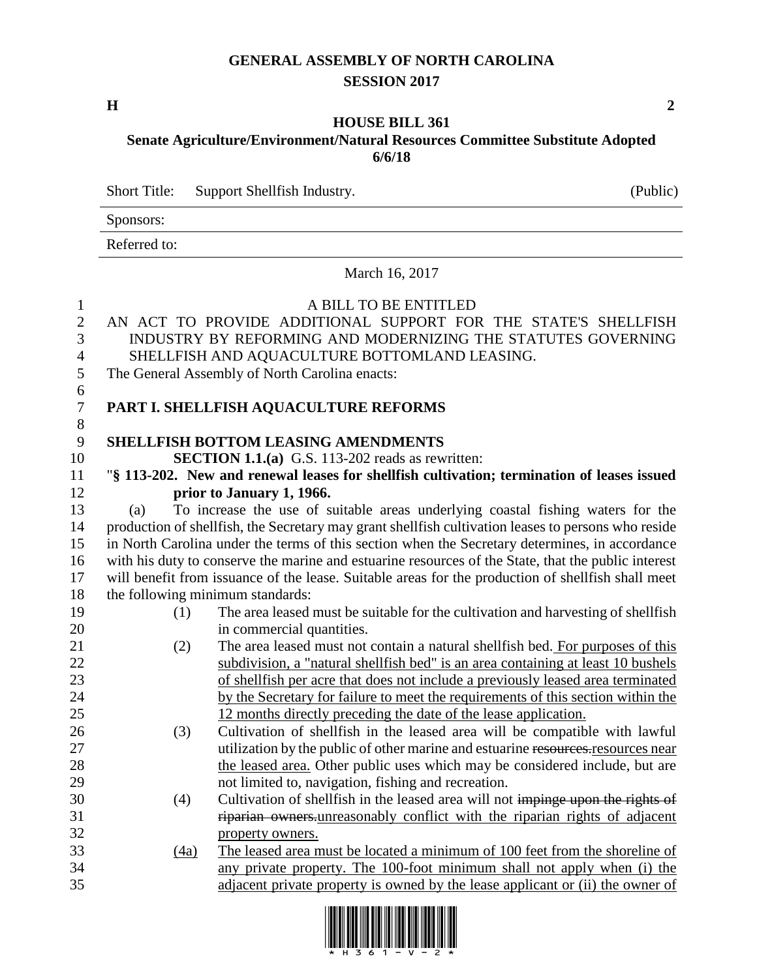# **GENERAL ASSEMBLY OF NORTH CAROLINA SESSION 2017**

**H 2**

### **HOUSE BILL 361 Senate Agriculture/Environment/Natural Resources Committee Substitute Adopted 6/6/18**

Short Title: Support Shellfish Industry. (Public)

Sponsors:

Referred to:

March 16, 2017

| $\mathbf{1}$<br>$\overline{2}$<br>3 |                                                                                                     | A BILL TO BE ENTITLED<br>AN ACT TO PROVIDE ADDITIONAL SUPPORT FOR THE STATE'S SHELLFISH<br>INDUSTRY BY REFORMING AND MODERNIZING THE STATUTES GOVERNING |  |  |
|-------------------------------------|-----------------------------------------------------------------------------------------------------|---------------------------------------------------------------------------------------------------------------------------------------------------------|--|--|
| $\overline{4}$                      |                                                                                                     | SHELLFISH AND AQUACULTURE BOTTOMLAND LEASING.                                                                                                           |  |  |
| 5                                   |                                                                                                     | The General Assembly of North Carolina enacts:                                                                                                          |  |  |
| 6                                   |                                                                                                     |                                                                                                                                                         |  |  |
| $\overline{7}$                      |                                                                                                     | PART I. SHELLFISH AQUACULTURE REFORMS                                                                                                                   |  |  |
| $8\,$                               |                                                                                                     |                                                                                                                                                         |  |  |
| 9                                   |                                                                                                     | <b>SHELLFISH BOTTOM LEASING AMENDMENTS</b>                                                                                                              |  |  |
| 10                                  | <b>SECTION 1.1.(a)</b> G.S. 113-202 reads as rewritten:                                             |                                                                                                                                                         |  |  |
| 11                                  |                                                                                                     | "§ 113-202. New and renewal leases for shellfish cultivation; termination of leases issued                                                              |  |  |
| 12                                  |                                                                                                     | prior to January 1, 1966.                                                                                                                               |  |  |
| 13                                  | (a)                                                                                                 | To increase the use of suitable areas underlying coastal fishing waters for the                                                                         |  |  |
| 14                                  | production of shellfish, the Secretary may grant shellfish cultivation leases to persons who reside |                                                                                                                                                         |  |  |
| 15                                  | in North Carolina under the terms of this section when the Secretary determines, in accordance      |                                                                                                                                                         |  |  |
| 16                                  | with his duty to conserve the marine and estuarine resources of the State, that the public interest |                                                                                                                                                         |  |  |
| 17                                  | will benefit from issuance of the lease. Suitable areas for the production of shellfish shall meet  |                                                                                                                                                         |  |  |
| 18                                  | the following minimum standards:                                                                    |                                                                                                                                                         |  |  |
| 19                                  | (1)                                                                                                 | The area leased must be suitable for the cultivation and harvesting of shellfish                                                                        |  |  |
| 20                                  |                                                                                                     | in commercial quantities.                                                                                                                               |  |  |
| 21                                  | (2)                                                                                                 | The area leased must not contain a natural shellfish bed. For purposes of this                                                                          |  |  |
| 22                                  |                                                                                                     | subdivision, a "natural shellfish bed" is an area containing at least 10 bushels                                                                        |  |  |
| 23                                  |                                                                                                     | of shellfish per acre that does not include a previously leased area terminated                                                                         |  |  |
| 24                                  |                                                                                                     | by the Secretary for failure to meet the requirements of this section within the                                                                        |  |  |
| 25                                  |                                                                                                     | 12 months directly preceding the date of the lease application.                                                                                         |  |  |
| 26                                  | (3)                                                                                                 | Cultivation of shellfish in the leased area will be compatible with lawful                                                                              |  |  |
| 27                                  |                                                                                                     | utilization by the public of other marine and estuarine resources-resources near                                                                        |  |  |
| 28                                  |                                                                                                     | the leased area. Other public uses which may be considered include, but are                                                                             |  |  |
| 29                                  |                                                                                                     | not limited to, navigation, fishing and recreation.                                                                                                     |  |  |
| 30                                  | (4)                                                                                                 | Cultivation of shellfish in the leased area will not impinge upon the rights of                                                                         |  |  |
| 31                                  |                                                                                                     | riparian owners unreasonably conflict with the riparian rights of adjacent                                                                              |  |  |
| 32                                  |                                                                                                     | property owners.                                                                                                                                        |  |  |
| 33                                  | (4a)                                                                                                | The leased area must be located a minimum of 100 feet from the shoreline of                                                                             |  |  |
| 34                                  |                                                                                                     | any private property. The 100-foot minimum shall not apply when (i) the                                                                                 |  |  |
| 35                                  |                                                                                                     | adjacent private property is owned by the lease applicant or (ii) the owner of                                                                          |  |  |

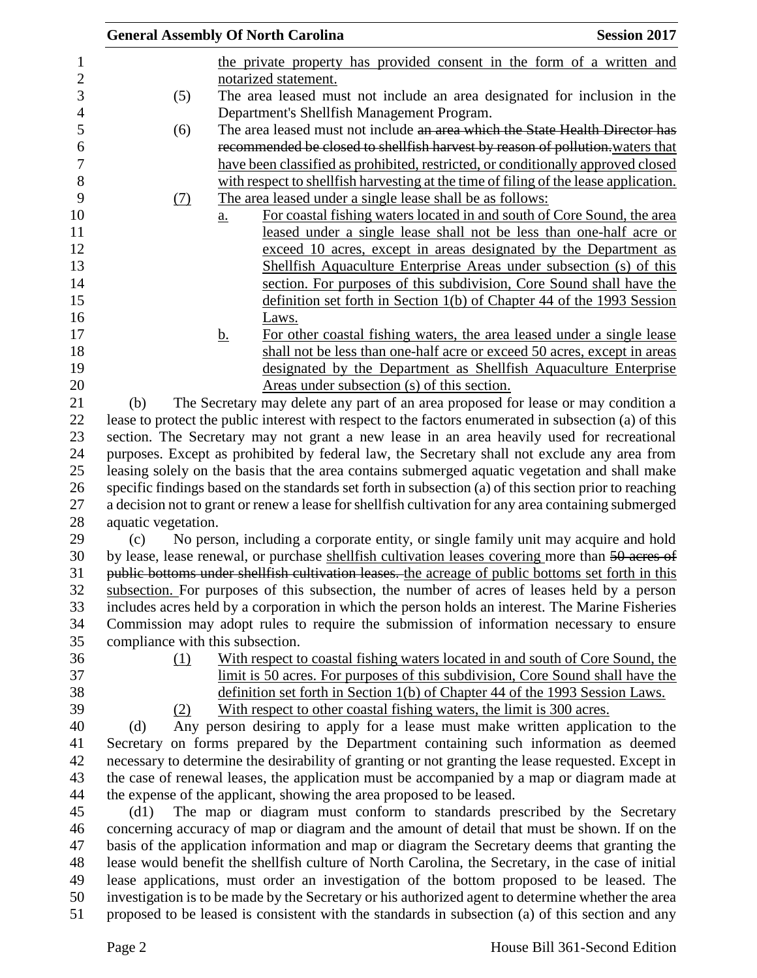|                                                                                                                                                                                                        | <b>General Assembly Of North Carolina</b> |           |                                                                       | <b>Session 2017</b>                                                                                                                                                                            |  |
|--------------------------------------------------------------------------------------------------------------------------------------------------------------------------------------------------------|-------------------------------------------|-----------|-----------------------------------------------------------------------|------------------------------------------------------------------------------------------------------------------------------------------------------------------------------------------------|--|
|                                                                                                                                                                                                        |                                           |           |                                                                       | the private property has provided consent in the form of a written and                                                                                                                         |  |
|                                                                                                                                                                                                        |                                           |           | notarized statement.                                                  |                                                                                                                                                                                                |  |
|                                                                                                                                                                                                        | (5)                                       |           |                                                                       | The area leased must not include an area designated for inclusion in the                                                                                                                       |  |
|                                                                                                                                                                                                        |                                           |           | Department's Shellfish Management Program.                            |                                                                                                                                                                                                |  |
|                                                                                                                                                                                                        | (6)                                       |           |                                                                       | The area leased must not include an area which the State Health Director has                                                                                                                   |  |
|                                                                                                                                                                                                        |                                           |           |                                                                       | recommended be closed to shellfish harvest by reason of pollution-waters that                                                                                                                  |  |
|                                                                                                                                                                                                        |                                           |           |                                                                       | have been classified as prohibited, restricted, or conditionally approved closed                                                                                                               |  |
|                                                                                                                                                                                                        |                                           |           |                                                                       | with respect to shell fish harvesting at the time of filing of the lease application.                                                                                                          |  |
|                                                                                                                                                                                                        | (7)                                       |           | The area leased under a single lease shall be as follows:             |                                                                                                                                                                                                |  |
|                                                                                                                                                                                                        |                                           | a.        |                                                                       | For coastal fishing waters located in and south of Core Sound, the area                                                                                                                        |  |
|                                                                                                                                                                                                        |                                           |           |                                                                       | leased under a single lease shall not be less than one-half acre or                                                                                                                            |  |
|                                                                                                                                                                                                        |                                           |           |                                                                       | exceed 10 acres, except in areas designated by the Department as                                                                                                                               |  |
|                                                                                                                                                                                                        |                                           |           |                                                                       | Shellfish Aquaculture Enterprise Areas under subsection (s) of this                                                                                                                            |  |
|                                                                                                                                                                                                        |                                           |           |                                                                       | section. For purposes of this subdivision, Core Sound shall have the                                                                                                                           |  |
|                                                                                                                                                                                                        |                                           |           |                                                                       | definition set forth in Section $1(b)$ of Chapter 44 of the 1993 Session                                                                                                                       |  |
|                                                                                                                                                                                                        |                                           |           | Laws.                                                                 |                                                                                                                                                                                                |  |
|                                                                                                                                                                                                        |                                           | <u>b.</u> |                                                                       | For other coastal fishing waters, the area leased under a single lease                                                                                                                         |  |
|                                                                                                                                                                                                        |                                           |           |                                                                       | shall not be less than one-half acre or exceed 50 acres, except in areas                                                                                                                       |  |
|                                                                                                                                                                                                        |                                           |           |                                                                       | designated by the Department as Shellfish Aquaculture Enterprise                                                                                                                               |  |
|                                                                                                                                                                                                        |                                           |           | Areas under subsection (s) of this section.                           |                                                                                                                                                                                                |  |
|                                                                                                                                                                                                        | (b)                                       |           |                                                                       | The Secretary may delete any part of an area proposed for lease or may condition a                                                                                                             |  |
|                                                                                                                                                                                                        |                                           |           |                                                                       | lease to protect the public interest with respect to the factors enumerated in subsection (a) of this                                                                                          |  |
|                                                                                                                                                                                                        |                                           |           |                                                                       | section. The Secretary may not grant a new lease in an area heavily used for recreational                                                                                                      |  |
|                                                                                                                                                                                                        |                                           |           |                                                                       | purposes. Except as prohibited by federal law, the Secretary shall not exclude any area from<br>leasing solely on the basis that the area contains submerged aquatic vegetation and shall make |  |
|                                                                                                                                                                                                        |                                           |           |                                                                       | specific findings based on the standards set forth in subsection (a) of this section prior to reaching                                                                                         |  |
|                                                                                                                                                                                                        |                                           |           |                                                                       |                                                                                                                                                                                                |  |
| a decision not to grant or renew a lease for shellfish cultivation for any area containing submerged<br>aquatic vegetation.                                                                            |                                           |           |                                                                       |                                                                                                                                                                                                |  |
|                                                                                                                                                                                                        | (c)                                       |           |                                                                       | No person, including a corporate entity, or single family unit may acquire and hold                                                                                                            |  |
|                                                                                                                                                                                                        |                                           |           |                                                                       |                                                                                                                                                                                                |  |
| by lease, lease renewal, or purchase shellfish cultivation leases covering more than 50 acres of<br>public bottoms under shellfish cultivation leases. the acreage of public bottoms set forth in this |                                           |           |                                                                       |                                                                                                                                                                                                |  |
| subsection. For purposes of this subsection, the number of acres of leases held by a person                                                                                                            |                                           |           |                                                                       |                                                                                                                                                                                                |  |
| includes acres held by a corporation in which the person holds an interest. The Marine Fisheries                                                                                                       |                                           |           |                                                                       |                                                                                                                                                                                                |  |
|                                                                                                                                                                                                        |                                           |           |                                                                       | Commission may adopt rules to require the submission of information necessary to ensure                                                                                                        |  |
|                                                                                                                                                                                                        | compliance with this subsection.          |           |                                                                       |                                                                                                                                                                                                |  |
|                                                                                                                                                                                                        | (1)                                       |           |                                                                       | With respect to coastal fishing waters located in and south of Core Sound, the                                                                                                                 |  |
|                                                                                                                                                                                                        |                                           |           |                                                                       | limit is 50 acres. For purposes of this subdivision, Core Sound shall have the                                                                                                                 |  |
|                                                                                                                                                                                                        |                                           |           |                                                                       | definition set forth in Section 1(b) of Chapter 44 of the 1993 Session Laws.                                                                                                                   |  |
|                                                                                                                                                                                                        | (2)                                       |           |                                                                       | With respect to other coastal fishing waters, the limit is 300 acres.                                                                                                                          |  |
|                                                                                                                                                                                                        | (d)                                       |           |                                                                       | Any person desiring to apply for a lease must make written application to the                                                                                                                  |  |
|                                                                                                                                                                                                        |                                           |           |                                                                       | Secretary on forms prepared by the Department containing such information as deemed                                                                                                            |  |
|                                                                                                                                                                                                        |                                           |           |                                                                       | necessary to determine the desirability of granting or not granting the lease requested. Except in                                                                                             |  |
|                                                                                                                                                                                                        |                                           |           |                                                                       | the case of renewal leases, the application must be accompanied by a map or diagram made at                                                                                                    |  |
|                                                                                                                                                                                                        |                                           |           | the expense of the applicant, showing the area proposed to be leased. |                                                                                                                                                                                                |  |
|                                                                                                                                                                                                        | (d1)                                      |           |                                                                       | The map or diagram must conform to standards prescribed by the Secretary                                                                                                                       |  |
|                                                                                                                                                                                                        |                                           |           |                                                                       | concerning accuracy of map or diagram and the amount of detail that must be shown. If on the                                                                                                   |  |
|                                                                                                                                                                                                        |                                           |           |                                                                       | basis of the application information and map or diagram the Secretary deems that granting the                                                                                                  |  |
|                                                                                                                                                                                                        |                                           |           |                                                                       | lease would benefit the shellfish culture of North Carolina, the Secretary, in the case of initial                                                                                             |  |
|                                                                                                                                                                                                        |                                           |           |                                                                       | lease applications, must order an investigation of the bottom proposed to be leased. The<br>investigation is to be made by the Secretary or his authorized agent to determine whether the area |  |
|                                                                                                                                                                                                        |                                           |           |                                                                       | proposed to be leased is consistent with the standards in subsection (a) of this section and any                                                                                               |  |
|                                                                                                                                                                                                        |                                           |           |                                                                       |                                                                                                                                                                                                |  |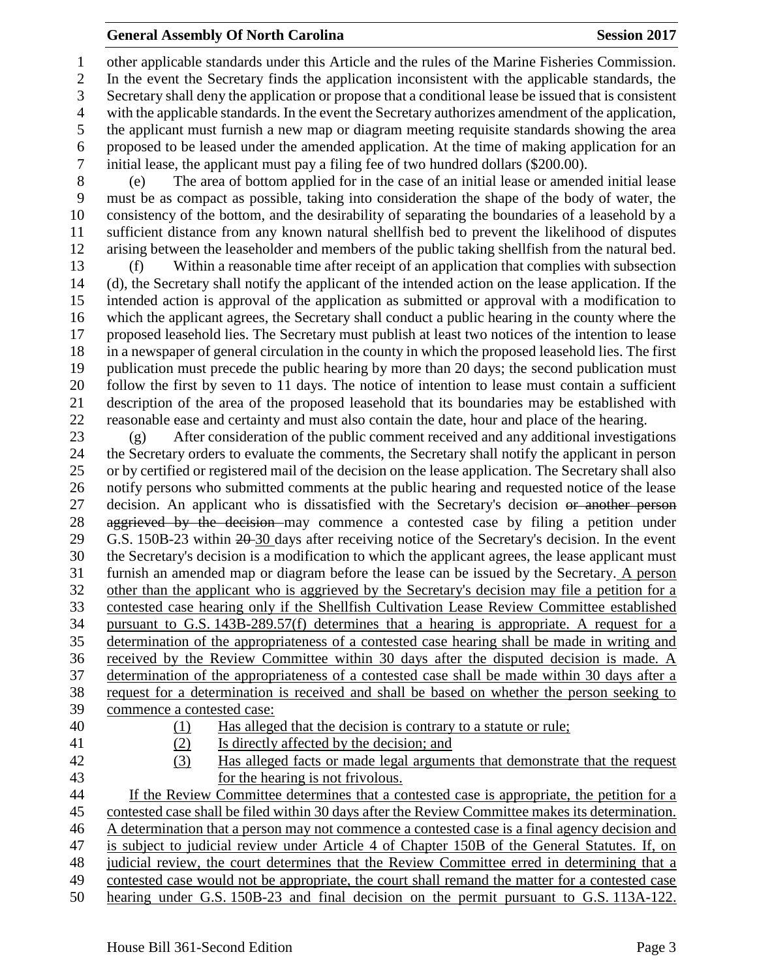### **General Assembly Of North Carolina Session 2017**

 other applicable standards under this Article and the rules of the Marine Fisheries Commission. In the event the Secretary finds the application inconsistent with the applicable standards, the Secretary shall deny the application or propose that a conditional lease be issued that is consistent with the applicable standards. In the event the Secretary authorizes amendment of the application, the applicant must furnish a new map or diagram meeting requisite standards showing the area 6 proposed to be leased under the amended application. At the time of making application for an initial lease, the applicant must pay a filing fee of two hundred dollars (\$200.00). initial lease, the applicant must pay a filing fee of two hundred dollars (\$200.00).

 (e) The area of bottom applied for in the case of an initial lease or amended initial lease must be as compact as possible, taking into consideration the shape of the body of water, the consistency of the bottom, and the desirability of separating the boundaries of a leasehold by a sufficient distance from any known natural shellfish bed to prevent the likelihood of disputes arising between the leaseholder and members of the public taking shellfish from the natural bed.

 (f) Within a reasonable time after receipt of an application that complies with subsection (d), the Secretary shall notify the applicant of the intended action on the lease application. If the intended action is approval of the application as submitted or approval with a modification to which the applicant agrees, the Secretary shall conduct a public hearing in the county where the proposed leasehold lies. The Secretary must publish at least two notices of the intention to lease in a newspaper of general circulation in the county in which the proposed leasehold lies. The first publication must precede the public hearing by more than 20 days; the second publication must follow the first by seven to 11 days. The notice of intention to lease must contain a sufficient description of the area of the proposed leasehold that its boundaries may be established with reasonable ease and certainty and must also contain the date, hour and place of the hearing.

 (g) After consideration of the public comment received and any additional investigations the Secretary orders to evaluate the comments, the Secretary shall notify the applicant in person or by certified or registered mail of the decision on the lease application. The Secretary shall also notify persons who submitted comments at the public hearing and requested notice of the lease 27 decision. An applicant who is dissatisfied with the Secretary's decision or another person 28 aggrieved by the decision may commence a contested case by filing a petition under 29 G.S. 150B-23 within 20-30 days after receiving notice of the Secretary's decision. In the event the Secretary's decision is a modification to which the applicant agrees, the lease applicant must furnish an amended map or diagram before the lease can be issued by the Secretary. A person other than the applicant who is aggrieved by the Secretary's decision may file a petition for a contested case hearing only if the Shellfish Cultivation Lease Review Committee established pursuant to G.S. 143B-289.57(f) determines that a hearing is appropriate. A request for a determination of the appropriateness of a contested case hearing shall be made in writing and received by the Review Committee within 30 days after the disputed decision is made. A determination of the appropriateness of a contested case shall be made within 30 days after a request for a determination is received and shall be based on whether the person seeking to commence a contested case: (1) Has alleged that the decision is contrary to a statute or rule; (2) Is directly affected by the decision; and (3) Has alleged facts or made legal arguments that demonstrate that the request

 for the hearing is not frivolous. If the Review Committee determines that a contested case is appropriate, the petition for a contested case shall be filed within 30 days after the Review Committee makes its determination. A determination that a person may not commence a contested case is a final agency decision and is subject to judicial review under Article 4 of Chapter 150B of the General Statutes. If, on judicial review, the court determines that the Review Committee erred in determining that a contested case would not be appropriate, the court shall remand the matter for a contested case hearing under G.S. 150B-23 and final decision on the permit pursuant to G.S. 113A-122.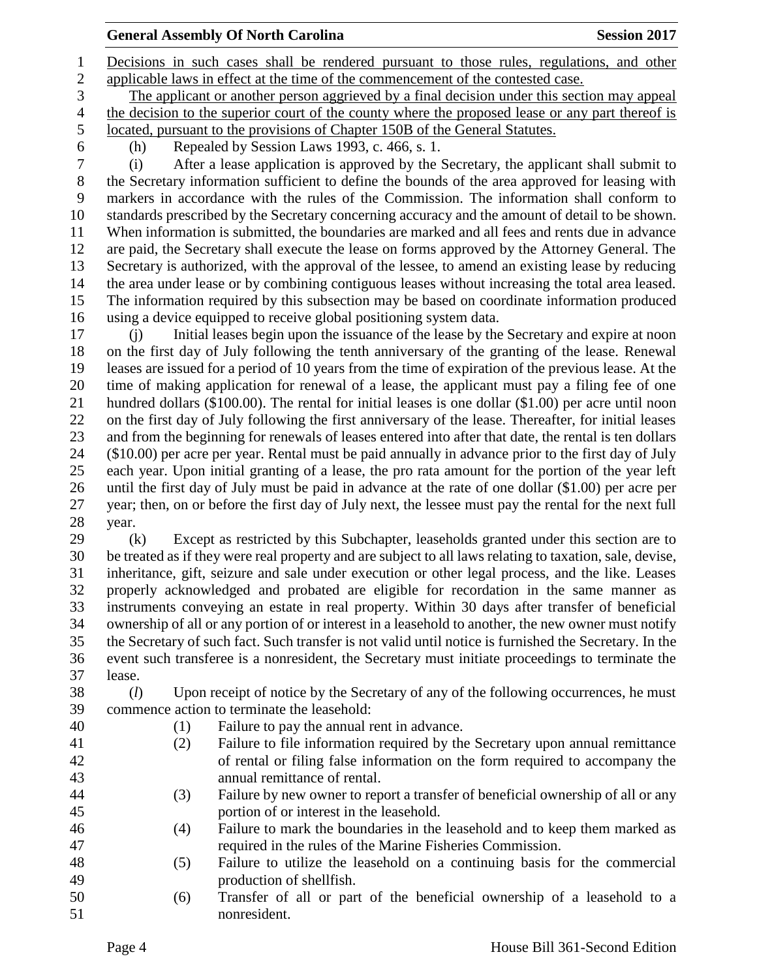## **General Assembly Of North Carolina Session 2017**

 Decisions in such cases shall be rendered pursuant to those rules, regulations, and other applicable laws in effect at the time of the commencement of the contested case.

 The applicant or another person aggrieved by a final decision under this section may appeal the decision to the superior court of the county where the proposed lease or any part thereof is located, pursuant to the provisions of Chapter 150B of the General Statutes.

(h) Repealed by Session Laws 1993, c. 466, s. 1.

 (i) After a lease application is approved by the Secretary, the applicant shall submit to the Secretary information sufficient to define the bounds of the area approved for leasing with markers in accordance with the rules of the Commission. The information shall conform to standards prescribed by the Secretary concerning accuracy and the amount of detail to be shown. When information is submitted, the boundaries are marked and all fees and rents due in advance are paid, the Secretary shall execute the lease on forms approved by the Attorney General. The Secretary is authorized, with the approval of the lessee, to amend an existing lease by reducing the area under lease or by combining contiguous leases without increasing the total area leased. The information required by this subsection may be based on coordinate information produced using a device equipped to receive global positioning system data.

 (j) Initial leases begin upon the issuance of the lease by the Secretary and expire at noon on the first day of July following the tenth anniversary of the granting of the lease. Renewal leases are issued for a period of 10 years from the time of expiration of the previous lease. At the time of making application for renewal of a lease, the applicant must pay a filing fee of one hundred dollars (\$100.00). The rental for initial leases is one dollar (\$1.00) per acre until noon on the first day of July following the first anniversary of the lease. Thereafter, for initial leases and from the beginning for renewals of leases entered into after that date, the rental is ten dollars (\$10.00) per acre per year. Rental must be paid annually in advance prior to the first day of July each year. Upon initial granting of a lease, the pro rata amount for the portion of the year left until the first day of July must be paid in advance at the rate of one dollar (\$1.00) per acre per year; then, on or before the first day of July next, the lessee must pay the rental for the next full year.

 (k) Except as restricted by this Subchapter, leaseholds granted under this section are to be treated as if they were real property and are subject to all laws relating to taxation, sale, devise, inheritance, gift, seizure and sale under execution or other legal process, and the like. Leases properly acknowledged and probated are eligible for recordation in the same manner as instruments conveying an estate in real property. Within 30 days after transfer of beneficial ownership of all or any portion of or interest in a leasehold to another, the new owner must notify the Secretary of such fact. Such transfer is not valid until notice is furnished the Secretary. In the event such transferee is a nonresident, the Secretary must initiate proceedings to terminate the lease.

 (*l*) Upon receipt of notice by the Secretary of any of the following occurrences, he must commence action to terminate the leasehold:

- 
- (1) Failure to pay the annual rent in advance.
- (2) Failure to file information required by the Secretary upon annual remittance of rental or filing false information on the form required to accompany the annual remittance of rental.
- (3) Failure by new owner to report a transfer of beneficial ownership of all or any portion of or interest in the leasehold.
- (4) Failure to mark the boundaries in the leasehold and to keep them marked as required in the rules of the Marine Fisheries Commission.
- (5) Failure to utilize the leasehold on a continuing basis for the commercial production of shellfish.
- (6) Transfer of all or part of the beneficial ownership of a leasehold to a nonresident.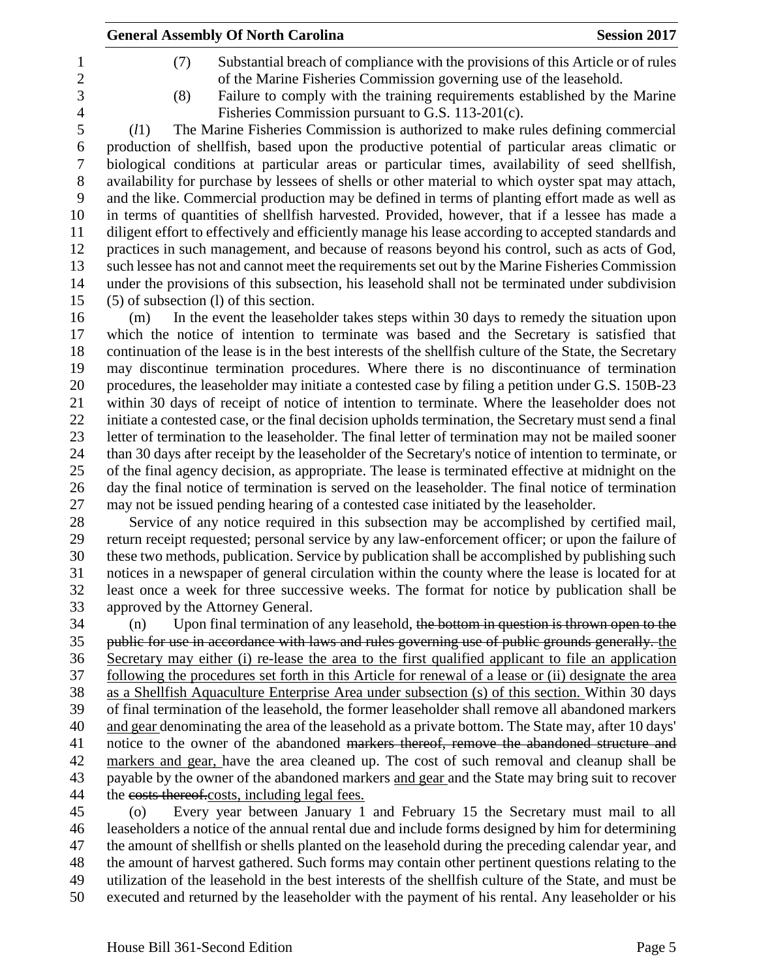| <b>General Assembly Of North Carolina</b><br><b>Session 2017</b>                                        |
|---------------------------------------------------------------------------------------------------------|
| Substantial breach of compliance with the provisions of this Article or of rules<br>(7)                 |
| of the Marine Fisheries Commission governing use of the leasehold.                                      |
| Failure to comply with the training requirements established by the Marine<br>(8)                       |
| Fisheries Commission pursuant to G.S. 113-201(c).                                                       |
| The Marine Fisheries Commission is authorized to make rules defining commercial<br>(l1)                 |
| production of shellfish, based upon the productive potential of particular areas climatic or            |
| biological conditions at particular areas or particular times, availability of seed shellfish,          |
| availability for purchase by lessees of shells or other material to which oyster spat may attach,       |
| and the like. Commercial production may be defined in terms of planting effort made as well as          |
| in terms of quantities of shellfish harvested. Provided, however, that if a lessee has made a           |
| diligent effort to effectively and efficiently manage his lease according to accepted standards and     |
| practices in such management, and because of reasons beyond his control, such as acts of God,           |
| such lessee has not and cannot meet the requirements set out by the Marine Fisheries Commission         |
| under the provisions of this subsection, his leasehold shall not be terminated under subdivision        |
| (5) of subsection (1) of this section.                                                                  |
| In the event the leaseholder takes steps within 30 days to remedy the situation upon<br>(m)             |
| which the notice of intention to terminate was based and the Secretary is satisfied that                |
| continuation of the lease is in the best interests of the shellfish culture of the State, the Secretary |
| may discontinue termination procedures. Where there is no discontinuance of termination                 |
| procedures, the leaseholder may initiate a contested case by filing a petition under G.S. 150B-23       |
| within 30 days of receipt of notice of intention to terminate. Where the leaseholder does not           |
| initiate a contested case, or the final decision upholds termination, the Secretary must send a final   |
| letter of termination to the leaseholder. The final letter of termination may not be mailed sooner      |
| than 30 days after receipt by the leaseholder of the Secretary's notice of intention to terminate, or   |
| of the final agency decision, as appropriate. The lease is terminated effective at midnight on the      |
| day the final notice of termination is served on the leaseholder. The final notice of termination       |
| may not be issued pending hearing of a contested case initiated by the leaseholder.                     |
| Service of any notice required in this subsection may be accomplished by certified mail,                |
| return receipt requested; personal service by any law-enforcement officer; or upon the failure of       |
| these two methods, publication. Service by publication shall be accomplished by publishing such         |
| notices in a newspaper of general circulation within the county where the lease is located for at       |

 approved by the Attorney General. (n) Upon final termination of any leasehold, the bottom in question is thrown open to the public for use in accordance with laws and rules governing use of public grounds generally. the Secretary may either (i) re-lease the area to the first qualified applicant to file an application following the procedures set forth in this Article for renewal of a lease or (ii) designate the area as a Shellfish Aquaculture Enterprise Area under subsection (s) of this section. Within 30 days

 of final termination of the leasehold, the former leaseholder shall remove all abandoned markers and gear denominating the area of the leasehold as a private bottom. The State may, after 10 days' 41 notice to the owner of the abandoned markers thereof, remove the abandoned structure and markers and gear, have the area cleaned up. The cost of such removal and cleanup shall be 43 payable by the owner of the abandoned markers and gear and the State may bring suit to recover 44 the costs thereof.costs, including legal fees.

least once a week for three successive weeks. The format for notice by publication shall be

 (o) Every year between January 1 and February 15 the Secretary must mail to all leaseholders a notice of the annual rental due and include forms designed by him for determining the amount of shellfish or shells planted on the leasehold during the preceding calendar year, and the amount of harvest gathered. Such forms may contain other pertinent questions relating to the utilization of the leasehold in the best interests of the shellfish culture of the State, and must be executed and returned by the leaseholder with the payment of his rental. Any leaseholder or his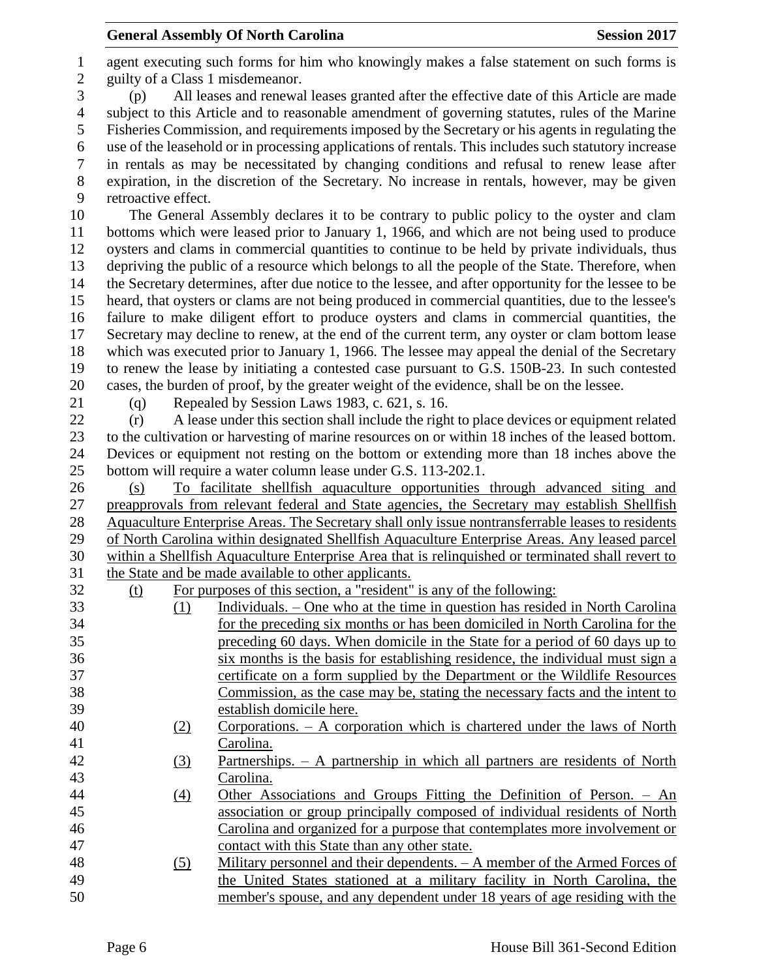agent executing such forms for him who knowingly makes a false statement on such forms is guilty of a Class 1 misdemeanor. (p) All leases and renewal leases granted after the effective date of this Article are made subject to this Article and to reasonable amendment of governing statutes, rules of the Marine Fisheries Commission, and requirements imposed by the Secretary or his agents in regulating the use of the leasehold or in processing applications of rentals. This includes such statutory increase in rentals as may be necessitated by changing conditions and refusal to renew lease after expiration, in the discretion of the Secretary. No increase in rentals, however, may be given retroactive effect. The General Assembly declares it to be contrary to public policy to the oyster and clam bottoms which were leased prior to January 1, 1966, and which are not being used to produce oysters and clams in commercial quantities to continue to be held by private individuals, thus depriving the public of a resource which belongs to all the people of the State. Therefore, when the Secretary determines, after due notice to the lessee, and after opportunity for the lessee to be heard, that oysters or clams are not being produced in commercial quantities, due to the lessee's failure to make diligent effort to produce oysters and clams in commercial quantities, the Secretary may decline to renew, at the end of the current term, any oyster or clam bottom lease which was executed prior to January 1, 1966. The lessee may appeal the denial of the Secretary to renew the lease by initiating a contested case pursuant to G.S. 150B-23. In such contested cases, the burden of proof, by the greater weight of the evidence, shall be on the lessee. (q) Repealed by Session Laws 1983, c. 621, s. 16. (r) A lease under this section shall include the right to place devices or equipment related to the cultivation or harvesting of marine resources on or within 18 inches of the leased bottom. Devices or equipment not resting on the bottom or extending more than 18 inches above the bottom will require a water column lease under G.S. 113-202.1. (s) To facilitate shellfish aquaculture opportunities through advanced siting and preapprovals from relevant federal and State agencies, the Secretary may establish Shellfish Aquaculture Enterprise Areas. The Secretary shall only issue nontransferrable leases to residents of North Carolina within designated Shellfish Aquaculture Enterprise Areas. Any leased parcel within a Shellfish Aquaculture Enterprise Area that is relinquished or terminated shall revert to the State and be made available to other applicants. (t) For purposes of this section, a "resident" is any of the following: (1) Individuals. – One who at the time in question has resided in North Carolina for the preceding six months or has been domiciled in North Carolina for the preceding 60 days. When domicile in the State for a period of 60 days up to six months is the basis for establishing residence, the individual must sign a certificate on a form supplied by the Department or the Wildlife Resources Commission, as the case may be, stating the necessary facts and the intent to establish domicile here. (2) Corporations. – A corporation which is chartered under the laws of North Carolina. (3) Partnerships. – A partnership in which all partners are residents of North Carolina. (4) Other Associations and Groups Fitting the Definition of Person. – An association or group principally composed of individual residents of North Carolina and organized for a purpose that contemplates more involvement or contact with this State than any other state. (5) Military personnel and their dependents. – A member of the Armed Forces of the United States stationed at a military facility in North Carolina, the member's spouse, and any dependent under 18 years of age residing with the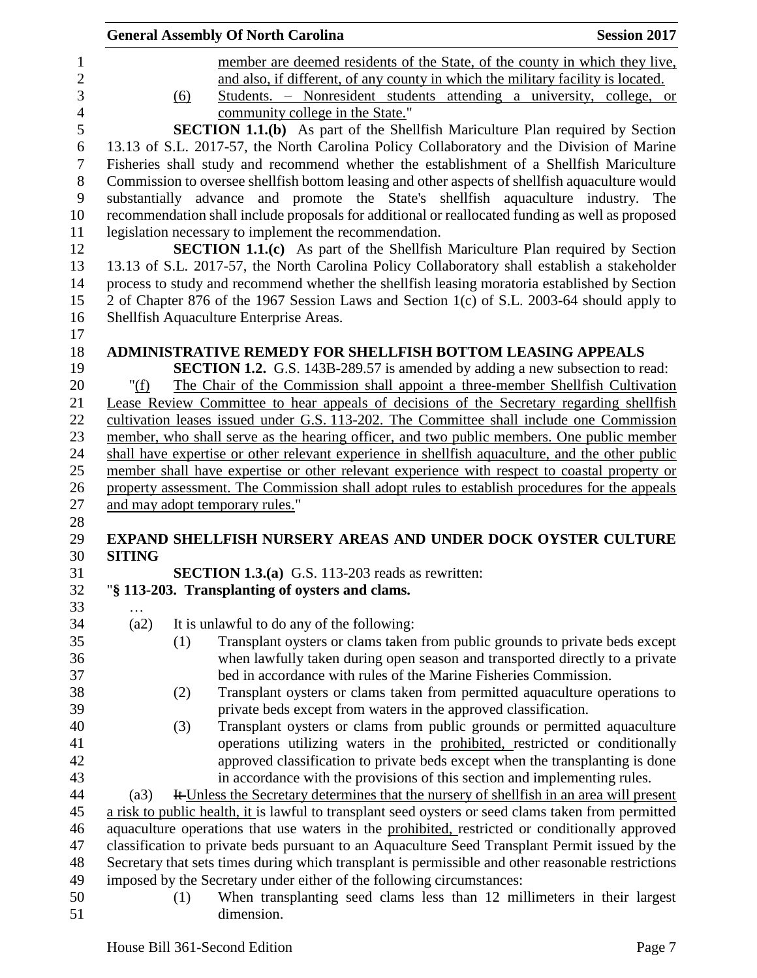|                | <b>General Assembly Of North Carolina</b><br><b>Session 2017</b>                                                                  |
|----------------|-----------------------------------------------------------------------------------------------------------------------------------|
| 1              | member are deemed residents of the State, of the county in which they live,                                                       |
| $\overline{2}$ | and also, if different, of any county in which the military facility is located.                                                  |
| 3              | Students. – Nonresident students attending a university, college, or<br>(6)                                                       |
| $\overline{4}$ | community college in the State."                                                                                                  |
| 5              | <b>SECTION 1.1.(b)</b> As part of the Shellfish Mariculture Plan required by Section                                              |
| 6              | 13.13 of S.L. 2017-57, the North Carolina Policy Collaboratory and the Division of Marine                                         |
| $\tau$         | Fisheries shall study and recommend whether the establishment of a Shellfish Mariculture                                          |
| 8              | Commission to oversee shellfish bottom leasing and other aspects of shellfish aquaculture would                                   |
| $\mathbf{9}$   | substantially advance and promote the State's shellfish aquaculture industry. The                                                 |
| 10             | recommendation shall include proposals for additional or reallocated funding as well as proposed                                  |
| 11             | legislation necessary to implement the recommendation.                                                                            |
| 12             | SECTION 1.1.(c) As part of the Shellfish Mariculture Plan required by Section                                                     |
| 13             | 13.13 of S.L. 2017-57, the North Carolina Policy Collaboratory shall establish a stakeholder                                      |
| 14             | process to study and recommend whether the shellfish leasing moratoria established by Section                                     |
| 15             | 2 of Chapter 876 of the 1967 Session Laws and Section 1(c) of S.L. 2003-64 should apply to                                        |
| 16             | Shellfish Aquaculture Enterprise Areas.                                                                                           |
| 17<br>18       | <b>ADMINISTRATIVE REMEDY FOR SHELLFISH BOTTOM LEASING APPEALS</b>                                                                 |
| 19             | <b>SECTION 1.2.</b> G.S. 143B-289.57 is amended by adding a new subsection to read:                                               |
| 20             | The Chair of the Commission shall appoint a three-member Shellfish Cultivation<br>" $(f)$                                         |
| 21             | Lease Review Committee to hear appeals of decisions of the Secretary regarding shellfish                                          |
| 22             | cultivation leases issued under G.S. 113-202. The Committee shall include one Commission                                          |
| 23             | member, who shall serve as the hearing officer, and two public members. One public member                                         |
| 24             | shall have expertise or other relevant experience in shellfish aquaculture, and the other public                                  |
| 25             | member shall have expertise or other relevant experience with respect to coastal property or                                      |
| 26             | property assessment. The Commission shall adopt rules to establish procedures for the appeals                                     |
| 27             | and may adopt temporary rules."                                                                                                   |
| 28             |                                                                                                                                   |
| 29             | <b>EXPAND SHELLFISH NURSERY AREAS AND UNDER DOCK OYSTER CULTURE</b>                                                               |
| 30             | <b>SITING</b>                                                                                                                     |
| 31             | <b>SECTION 1.3.(a)</b> G.S. 113-203 reads as rewritten:                                                                           |
| 32             | "§ 113-203. Transplanting of oysters and clams.                                                                                   |
| 33<br>34       | (a2)                                                                                                                              |
| 35             | It is unlawful to do any of the following:<br>Transplant oysters or clams taken from public grounds to private beds except<br>(1) |
| 36             | when lawfully taken during open season and transported directly to a private                                                      |
| 37             | bed in accordance with rules of the Marine Fisheries Commission.                                                                  |
| 38             | Transplant oysters or clams taken from permitted aquaculture operations to<br>(2)                                                 |
| 39             | private beds except from waters in the approved classification.                                                                   |
| 40             | Transplant oysters or clams from public grounds or permitted aquaculture<br>(3)                                                   |
| 41             | operations utilizing waters in the prohibited, restricted or conditionally                                                        |
| 42             | approved classification to private beds except when the transplanting is done                                                     |
| 43             | in accordance with the provisions of this section and implementing rules.                                                         |
| 44             | It Unless the Secretary determines that the nursery of shellfish in an area will present<br>(a3)                                  |
| 45             | a risk to public health, it is lawful to transplant seed oysters or seed clams taken from permitted                               |
| 46             | aquaculture operations that use waters in the prohibited, restricted or conditionally approved                                    |
| 47             | classification to private beds pursuant to an Aquaculture Seed Transplant Permit issued by the                                    |
| 48             | Secretary that sets times during which transplant is permissible and other reasonable restrictions                                |
| 49             | imposed by the Secretary under either of the following circumstances:                                                             |
| 50             | When transplanting seed clams less than 12 millimeters in their largest<br>(1)                                                    |
| 51             | dimension.                                                                                                                        |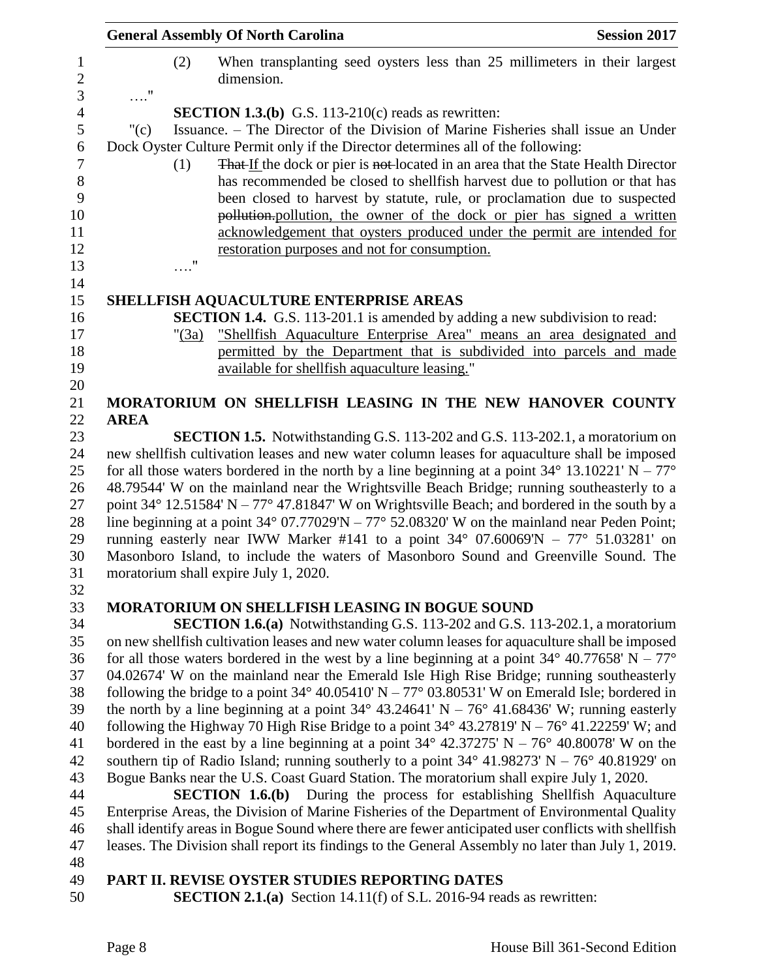| <b>General Assembly Of North Carolina</b>                                                            |          | <b>Session 2017</b>                                                                                                                                                                       |  |  |
|------------------------------------------------------------------------------------------------------|----------|-------------------------------------------------------------------------------------------------------------------------------------------------------------------------------------------|--|--|
| $\ldots$ ."                                                                                          | (2)      | When transplanting seed oysters less than 25 millimeters in their largest<br>dimension.                                                                                                   |  |  |
|                                                                                                      |          | <b>SECTION 1.3.(b)</b> G.S. 113-210(c) reads as rewritten:                                                                                                                                |  |  |
| " $(c)$                                                                                              |          | Issuance. – The Director of the Division of Marine Fisheries shall issue an Under                                                                                                         |  |  |
|                                                                                                      |          | Dock Oyster Culture Permit only if the Director determines all of the following:                                                                                                          |  |  |
|                                                                                                      | (1)      | That If the dock or pier is not-located in an area that the State Health Director                                                                                                         |  |  |
|                                                                                                      |          | has recommended be closed to shell fish harvest due to pollution or that has                                                                                                              |  |  |
|                                                                                                      |          | been closed to harvest by statute, rule, or proclamation due to suspected                                                                                                                 |  |  |
|                                                                                                      |          | pollution. pollution, the owner of the dock or pier has signed a written                                                                                                                  |  |  |
|                                                                                                      |          | acknowledgement that oysters produced under the permit are intended for                                                                                                                   |  |  |
|                                                                                                      |          | restoration purposes and not for consumption.                                                                                                                                             |  |  |
|                                                                                                      | 11       |                                                                                                                                                                                           |  |  |
|                                                                                                      |          |                                                                                                                                                                                           |  |  |
|                                                                                                      |          | SHELLFISH AQUACULTURE ENTERPRISE AREAS                                                                                                                                                    |  |  |
|                                                                                                      |          | <b>SECTION 1.4.</b> G.S. 113-201.1 is amended by adding a new subdivision to read:                                                                                                        |  |  |
|                                                                                                      | " $(3a)$ | "Shellfish Aquaculture Enterprise Area" means an area designated and                                                                                                                      |  |  |
|                                                                                                      |          | permitted by the Department that is subdivided into parcels and made                                                                                                                      |  |  |
|                                                                                                      |          | available for shellfish aquaculture leasing."                                                                                                                                             |  |  |
|                                                                                                      |          | MORATORIUM ON SHELLFISH LEASING IN THE NEW HANOVER COUNTY                                                                                                                                 |  |  |
| <b>AREA</b>                                                                                          |          |                                                                                                                                                                                           |  |  |
|                                                                                                      |          | <b>SECTION 1.5.</b> Notwithstanding G.S. 113-202 and G.S. 113-202.1, a moratorium on                                                                                                      |  |  |
|                                                                                                      |          | new shellfish cultivation leases and new water column leases for aquaculture shall be imposed                                                                                             |  |  |
|                                                                                                      |          | for all those waters bordered in the north by a line beginning at a point $34^{\circ}$ 13.10221' N – $77^{\circ}$                                                                         |  |  |
|                                                                                                      |          | 48.79544' W on the mainland near the Wrightsville Beach Bridge; running southeasterly to a                                                                                                |  |  |
|                                                                                                      |          | point 34° 12.51584′ N – 77° 47.81847′ W on Wrightsville Beach; and bordered in the south by a                                                                                             |  |  |
|                                                                                                      |          | line beginning at a point $34^{\circ}$ 07.77029'N – $77^{\circ}$ 52.08320' W on the mainland near Peden Point;                                                                            |  |  |
| running easterly near IWW Marker #141 to a point $34^{\circ}$ 07.60069'N – $77^{\circ}$ 51.03281' on |          |                                                                                                                                                                                           |  |  |
| Masonboro Island, to include the waters of Masonboro Sound and Greenville Sound. The                 |          |                                                                                                                                                                                           |  |  |
|                                                                                                      |          | moratorium shall expire July 1, 2020.                                                                                                                                                     |  |  |
|                                                                                                      |          |                                                                                                                                                                                           |  |  |
|                                                                                                      |          | <b>MORATORIUM ON SHELLFISH LEASING IN BOGUE SOUND</b>                                                                                                                                     |  |  |
|                                                                                                      |          | <b>SECTION 1.6.(a)</b> Notwithstanding G.S. 113-202 and G.S. 113-202.1, a moratorium<br>on new shell fish cultivation leases and new water column leases for aquaculture shall be imposed |  |  |
|                                                                                                      |          | for all those waters bordered in the west by a line beginning at a point $34^{\circ}$ 40.77658' N – 77 <sup>o</sup>                                                                       |  |  |
|                                                                                                      |          | 04.02674' W on the mainland near the Emerald Isle High Rise Bridge; running southeasterly                                                                                                 |  |  |
|                                                                                                      |          | following the bridge to a point $34^{\circ}$ 40.05410' N – 77° 03.80531' W on Emerald Isle; bordered in                                                                                   |  |  |
|                                                                                                      |          | the north by a line beginning at a point $34^{\circ}$ 43.24641' N – 76° 41.68436' W; running easterly                                                                                     |  |  |
|                                                                                                      |          | following the Highway 70 High Rise Bridge to a point $34^{\circ}$ 43.27819' N – 76° 41.22259' W; and                                                                                      |  |  |
|                                                                                                      |          | bordered in the east by a line beginning at a point $34^{\circ}$ 42.37275' N – 76° 40.80078' W on the                                                                                     |  |  |
|                                                                                                      |          | southern tip of Radio Island; running southerly to a point $34^{\circ}$ 41.98273' N – 76° 40.81929' on                                                                                    |  |  |
|                                                                                                      |          | Bogue Banks near the U.S. Coast Guard Station. The moratorium shall expire July 1, 2020.                                                                                                  |  |  |
|                                                                                                      |          | <b>SECTION 1.6.(b)</b> During the process for establishing Shellfish Aquaculture                                                                                                          |  |  |
|                                                                                                      |          | Enterprise Areas, the Division of Marine Fisheries of the Department of Environmental Quality                                                                                             |  |  |
|                                                                                                      |          | shall identify areas in Bogue Sound where there are fewer anticipated user conflicts with shellfish                                                                                       |  |  |
|                                                                                                      |          | leases. The Division shall report its findings to the General Assembly no later than July 1, 2019.                                                                                        |  |  |
|                                                                                                      |          |                                                                                                                                                                                           |  |  |
|                                                                                                      |          | DA DT II. DEVIEE AVETED ETHNIEE DEDADTING DATEC                                                                                                                                           |  |  |

#### **PART II. REVISE OYSTER STUDIES REPORTING DATES**

**SECTION 2.1.(a)** Section 14.11(f) of S.L. 2016-94 reads as rewritten: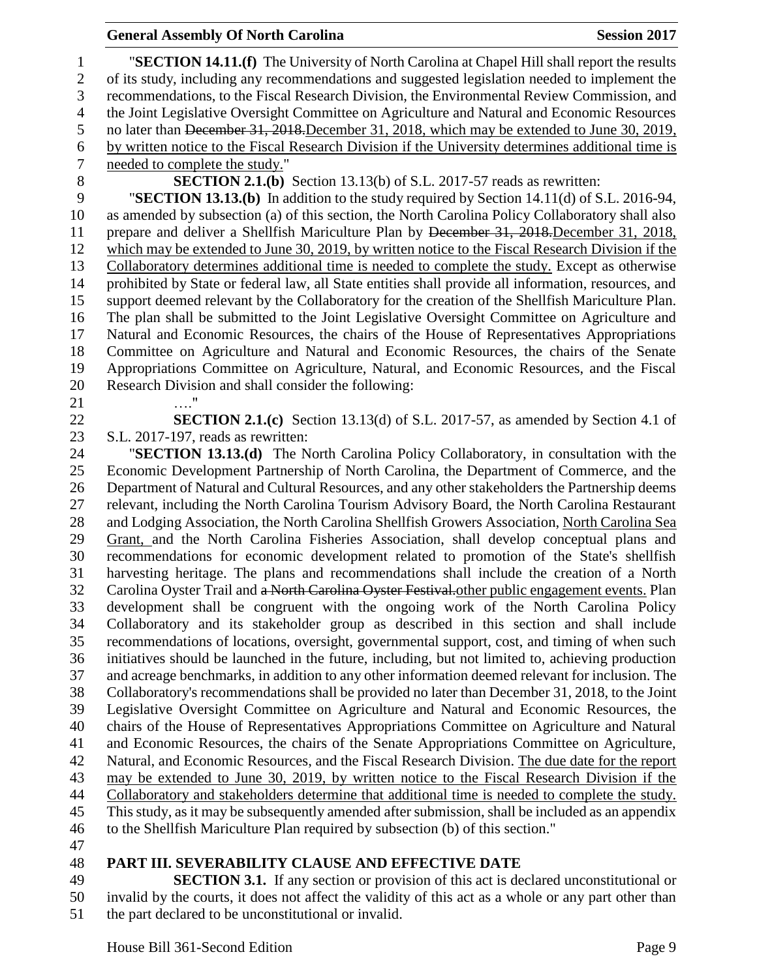## **General Assembly Of North Carolina Session 2017**

 "**SECTION 14.11.(f)** The University of North Carolina at Chapel Hill shall report the results of its study, including any recommendations and suggested legislation needed to implement the recommendations, to the Fiscal Research Division, the Environmental Review Commission, and the Joint Legislative Oversight Committee on Agriculture and Natural and Economic Resources 5 no later than December 31, 2018. December 31, 2018, which may be extended to June 30, 2019, 6 by written notice to the Fiscal Research Division if the University determines additional time is needed to complete the study." needed to complete the study." **SECTION 2.1.(b)** Section 13.13(b) of S.L. 2017-57 reads as rewritten: "**SECTION 13.13.(b)** In addition to the study required by Section 14.11(d) of S.L. 2016-94, as amended by subsection (a) of this section, the North Carolina Policy Collaboratory shall also 11 prepare and deliver a Shellfish Mariculture Plan by December 31, 2018. December 31, 2018, which may be extended to June 30, 2019, by written notice to the Fiscal Research Division if the Collaboratory determines additional time is needed to complete the study. Except as otherwise prohibited by State or federal law, all State entities shall provide all information, resources, and support deemed relevant by the Collaboratory for the creation of the Shellfish Mariculture Plan.

 The plan shall be submitted to the Joint Legislative Oversight Committee on Agriculture and Natural and Economic Resources, the chairs of the House of Representatives Appropriations Committee on Agriculture and Natural and Economic Resources, the chairs of the Senate Appropriations Committee on Agriculture, Natural, and Economic Resources, and the Fiscal Research Division and shall consider the following:

…."

 **SECTION 2.1.(c)** Section 13.13(d) of S.L. 2017-57, as amended by Section 4.1 of S.L. 2017-197, reads as rewritten:

 "**SECTION 13.13.(d)** The North Carolina Policy Collaboratory, in consultation with the Economic Development Partnership of North Carolina, the Department of Commerce, and the Department of Natural and Cultural Resources, and any other stakeholders the Partnership deems relevant, including the North Carolina Tourism Advisory Board, the North Carolina Restaurant and Lodging Association, the North Carolina Shellfish Growers Association, North Carolina Sea Grant, and the North Carolina Fisheries Association, shall develop conceptual plans and recommendations for economic development related to promotion of the State's shellfish harvesting heritage. The plans and recommendations shall include the creation of a North 32 Carolina Oyster Trail and a North Carolina Oyster Festival. other public engagement events. Plan development shall be congruent with the ongoing work of the North Carolina Policy Collaboratory and its stakeholder group as described in this section and shall include recommendations of locations, oversight, governmental support, cost, and timing of when such initiatives should be launched in the future, including, but not limited to, achieving production and acreage benchmarks, in addition to any other information deemed relevant for inclusion. The Collaboratory's recommendations shall be provided no later than December 31, 2018, to the Joint Legislative Oversight Committee on Agriculture and Natural and Economic Resources, the chairs of the House of Representatives Appropriations Committee on Agriculture and Natural and Economic Resources, the chairs of the Senate Appropriations Committee on Agriculture, Natural, and Economic Resources, and the Fiscal Research Division. The due date for the report may be extended to June 30, 2019, by written notice to the Fiscal Research Division if the Collaboratory and stakeholders determine that additional time is needed to complete the study. This study, as it may be subsequently amended after submission, shall be included as an appendix to the Shellfish Mariculture Plan required by subsection (b) of this section."

## **PART III. SEVERABILITY CLAUSE AND EFFECTIVE DATE**

 **SECTION 3.1.** If any section or provision of this act is declared unconstitutional or invalid by the courts, it does not affect the validity of this act as a whole or any part other than the part declared to be unconstitutional or invalid.